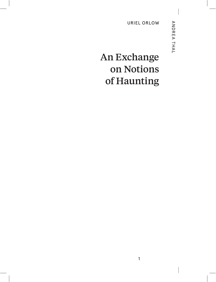URIEL ORLOW

## An Exchange on Notions of Haunting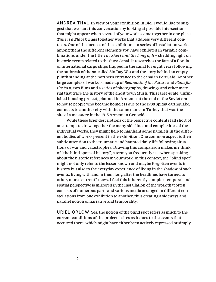ANDREA THAL In view of your exhibition in Biel I would like to suggest that we start this conversation by looking at possible intersections that might appear when several of your works come together in one place. *Time is a Place* brings together works that address very different contexts. One of the focuses of the exhibition is a series of installation works – among them the different elements you have exhibited in variable combinations under the title *The Short and the Long of It* – shedding light on historic events related to the Suez Canal. It researches the fate of a flotilla of international cargo ships trapped in the canal for eight years following the outbreak of the so-called Six-Day War and the story behind an empty plinth standing at the northern entrance to the canal in Port Said. Another large complex of works is made up of *Remnants of the Future* and *Plans for the Past*, two films and a series of photographs, drawings and other material that trace the history of the ghost town Mush. This large-scale, unfinished housing project, planned in Armenia at the end of the Soviet era to house people who became homeless due to the 1988 Spitak earthquake, connects to another city with the same name in Turkey that was the site of a massacre in the 1915 Armenian Genocide.

While these brief descriptions of the respective contents fall short of an attempt to draw together the many side lines and complexities of the individual works, they might help to highlight some parallels in the different bodies of works present in the exhibition. One common aspect is their subtle attention to the traumatic and haunted daily life following situations of war and catastrophes. Drawing this comparison makes me think of "the blind spots of history", a term you frequently use when speaking about the historic references in your work. In this context, the "blind spot" might not only refer to the lesser known and maybe forgotten events in history but also to the everyday experience of living in the shadow of such events, living with and in them long after the headlines have turned to other, more "current" news. I feel this inherently complex temporal and spatial perspective is mirrored in the installation of the work that often consists of numerous parts and various media arranged in different constellations from one exhibition to another, thus creating a sideways and parallel notion of narrative and temporality.

URIEL ORLOW Yes, the notion of the blind spot refers as much to the current conditions of the projects' sites as it does to the events that occurred there, which might have either been actively repressed or simply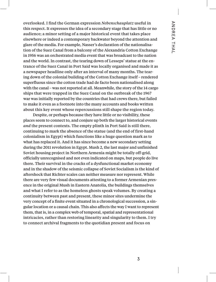overlooked. I find the German expression *Nebenschauplatz* useful in this respect. It expresses the idea of a secondary stage that has little or no audience; a minor setting of a major historical event that takes place elsewhere or indeed a contemporary backwater beyond the attention and glare of the media. For example, Nasser's declaration of the nationalisation of the Suez Canal from a balcony of the Alexandria Cotton Exchange in 1956 was an orchestrated media event that was broadcast to the nation and the world. In contrast, the tearing down of Lesseps' statue at the entrance of the Suez Canal in Port Said was locally organised and made it as a newspaper headline only after an interval of many months. The tearing down of the colonial building of the Cotton Exchange itself – rendered superfluous since the cotton trade had de facto been nationalised along with the canal – was not reported at all. Meanwhile, the story of the 14 cargo ships that were trapped in the Suez Canal on the outbreak of the 1967 war was initially reported by the countries that had crews there, but failed to make it even as a footnote into the many accounts and books written about this key event whose repercussions still shape the region today.

Despite, or perhaps because they have little or no visibility, these places seem to connect to, and conjure up both the larger historical events *and* the present contexts. The empty plinth in Port Said is still there, continuing to mark the absence of the statue (and the end of first-hand colonialism in Egypt) which functions like a huge question mark as to what has replaced it. And it has since become a new secondary setting during the 2011 revolution in Egypt. Mush 2, the last major and unfinished Soviet housing project in Northern Armenia might be totally off-grid, officially unrecognised and not even indicated on maps, but people do live there. Their survival in the cracks of a dysfunctional market economy and in the shadow of the seismic collapse of Soviet Socialism is the kind of aftershock that Richter scales can neither measure nor represent. While there are very few visual documents attesting to a former Armenian presence in the original Mush in Eastern Anatolia, the buildings themselves and what I refer to as the homeless ghosts speak volumes. By creating a continuity between past and present, these minor sites undermine the very concept of a finite event situated in a chronological succession, a singular location or a causal chain. This also affects the way I want to represent them, that is, in a complex web of temporal, spatial and representational intricacies, rather than restoring linearity and singularity to them. I try to connect archival fragments to the quotidian present and focus on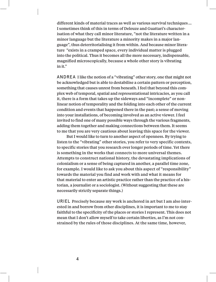different kinds of material traces as well as various survival techniques… I sometimes think of this in terms of Deleuze and Guattari's characterisation of what they call minor literature, "not the literature written in a minor language but the literature a minority makes in a major language", thus deterritorialising it from within. And because minor literature "exists in a cramped space, every individual matter is plugged into the political. Thus it becomes all the more necessary, indispensable, magnified microscopically, because a whole other story is vibrating in it."

ANDREA I like the notion of a "vibrating" other story, one that might not be acknowledged but is able to destabilise a certain pattern or perception, something that causes unrest from beneath. I feel that beyond this complex web of temporal, spatial and representational intricacies, as you call it, there is a form that takes up the sideways and "incomplete" or nonlinear notion of temporality and the folding into each other of the current condition and events that happened there in the past; a sense of moving into your installations, of becoming involved as an active viewer. I feel invited to find one of many possible ways through the various fragments, adding them together and making connections between them. It seems to me that you are very cautious about leaving this space for the viewer.

But I would like to turn to another aspect of openness. By trying to listen to the "vibrating" other stories, you refer to very specific contexts, to specific stories that you research over longer periods of time. Yet there is something in the works that connects to more universal themes. Attempts to construct national history, the devastating implications of colonialism or a sense of being captured in another, a parallel time zone, for example. I would like to ask you about this aspect of "responsibility" towards the material you find and work with and what it means for that material to enter an artistic practice rather than the practice of a historian, a journalist or a sociologist. (Without suggesting that these are necessarily strictly separate things.)

URIEL Precisely because my work is anchored in art but I am also interested in and borrow from other disciplines, it is important to me to stay faithful to the specificity of the places or stories I represent. This does not mean that I don't allow myself to take certain liberties, as I'm not constrained by the rules of those disciplines. At the same time, however,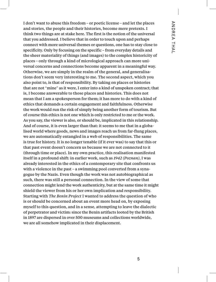I don't want to abuse this freedom – or poetic license – and let the places and stories, the people and their histories, become mere pretexts. I think two things are at stake here. The first is the notion of the universal that you addressed. I believe that in order to touch upon and perhaps connect with more universal themes or questions, one has to stay close to specificity. Only by focusing on the specific – from everyday details and the sheer materiality of things (and images) to the complex historicity of places – only through a kind of micrological approach can more universal concerns and connections become apparent in a meaningful way. Otherwise, we are simply in the realm of the general, and generalisations don't seem very interesting to me. The second aspect, which you also point to, is that of responsibility. By taking on places or histories that are not "mine" as it were, I enter into a kind of unspoken contract; that is, I become answerable to those places and histories. This does not mean that I am a spokesperson for them; it has more to do with a kind of ethics that demands a certain engagement and faithfulness. Otherwise the work would run the risk of simply being another form of tourism. But of course this ethics is not one which is only restricted to me or the work. As you say, the viewer is also, or should be, implicated in this relationship. And of course, it is even larger than that: it seems to me that in a globalised world where goods, news and images reach us from far-flung places, we are automatically entangled in a web of responsibilities. The same is true for history. It is no longer tenable (if it ever was) to say that this or that past event doesn't concern us because we are not connected to it (through time or place). In my own practice, this realisation manifested itself in a profound shift: in earlier work, such as *1942 (Poznan)*, I was already interested in the ethics of a contemporary site that confronts us with a violence in the past – a swimming pool converted from a synagogue by the Nazis. Even though the work was not autobiographical as such, there was still a personal connection. In the view of some that connection might lend the work authenticity, but at the same time it might shield the viewer from his or her own implication and responsibility. Starting with *The Benin Project* I wanted to address the question of who is or should be concerned about an event more head on, by exposing myself to this question, and in a sense, attempting to leave the dialectic of perpetrator and victim: since the Benin artifacts looted by the British in 1897 are dispersed in over 500 museums and collections worldwide, we are all somehow implicated in their displacement.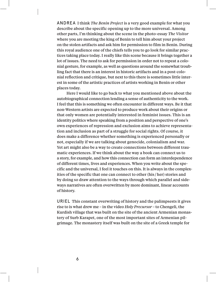ANDREA I think *The Benin Project* is a very good example for what you describe about the specific opening up to the more universal. Among other parts, I'm thinking about the scene in the photo-essay *The Visitor* where you are meeting the king of Benin to tell him about your project on the stolen artifacts and ask him for permission to film in Benin. During this royal audience one of the chiefs tells you to go look for similar practices taking place today. I really like this scene because it brings together a lot of issues. The need to ask for permission in order not to repeat a colonial gesture, for example, as well as questions around the somewhat troubling fact that there is an interest in historic artifacts and in a post-colonial reflection and critique, but next to this there is sometimes little interest in some of the artistic practices of artists working in Benin or other places today.

Here I would like to go back to what you mentioned above about the autobiographical connection lending a sense of authenticity to the work. I feel that this is something we often encounter in different ways. Be it that non-Western artists are expected to produce work about their origins or that only women are potentially interested in feminist issues. This is an identity politics where speaking from a position and perspective of one's own experiences of repression and exclusion aims to achieve representation and inclusion as part of a struggle for social rights. Of course, it does make a difference whether something is experienced personally or not, especially if we are talking about genocide, colonialism and war. Yet art might also be a way to create connections between different traumatic experiences. If we think about the way a book can connect us to a story, for example, and how this connection can form an interdependence of different times, lives and experiences. When you write about the specific and the universal, I feel it touches on this. It is always in the complexities of the specific that one can connect to other (his /her) stories and by doing so draw attention to the ways through which parallel and sideways narratives are often overwritten by more dominant, linear accounts of history.

URIEL This constant overwriting of history and the palimpsests it gives rise to is what drew me – in the video *Holy Precursor* – to Chengeli, the Kurdish village that was built on the site of the ancient Armenian monastery of Surb Karapet, one of the most important sites of Armenian pilgrimage. The monastery itself was built on the site of a Greek temple for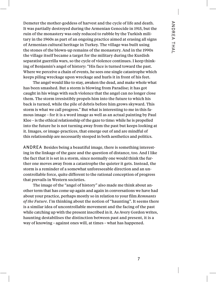Demeter the mother-goddess of harvest and the cycle of life and death. It was partially destroyed during the Armenian Genocide in 1915, but the ruin of the monastery was only reduced to rubble by the Turkish military in the 1960s as part of an ongoing practice aimed at erasing all signs of Armenian cultural heritage in Turkey. The village was built using the stones of the blown-up remains of the monastery. And in the 1990s the village itself became a target for the military during the Kurdish separatist guerrilla wars, so the cycle of violence continues. I keep thinking of Benjamin's angel of history: "His face is turned toward the past. Where we perceive a chain of events, he sees one single catastrophe which keeps piling wreckage upon wreckage and hurls it in front of his feet.

The angel would like to stay, awaken the dead, and make whole what has been smashed. But a storm is blowing from Paradise; it has got caught in his wings with such violence that the angel can no longer close them. The storm irresistibly propels him into the future to which his back is turned, while the pile of debris before him grows skyward. This storm is what we call progress." But what is interesting to me in this famous image – for it is a word image as well as an actual painting by Paul Klee – is the ethical relationship of the gaze to time: while he is propelled into the future he is not turning away from the past but keeps looking at it. Images, or image-practices, that emerge out of and are mindful of this relationship are necessarily steeped in both aesthetics and politics.

ANDREA Besides being a beautiful image, there is something interesting in the linkage of the gaze and the question of distance, too. And I like the fact that it is set in a storm, since normally one would think the further one moves away from a catastrophe the quieter it gets. Instead, the storm is a reminder of a somewhat unforeseeable direction and an uncontrollable force, quite different to the rational conception of progress that prevails in Western societies.

The image of the "angel of history" also made me think about another term that has come up again and again in conversations we have had about your practice, perhaps mostly so in relation to your film *Remnants of the Future*. I'm thinking about the notion of "haunting". It seems there is a similar idea of uncontrollable movement and the facing of the past while catching up with the present inscribed in it. As Avery Gordon writes, haunting destabilises the distinction between past and present, it is a way of knowing – against ones will, at times – what has happened.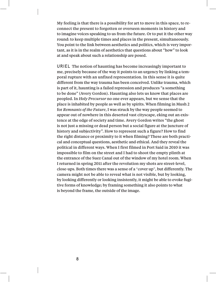My feeling is that there is a possibility for art to move in this space, to reconnect the present to forgotten or overseen moments in history and to imagine voices speaking to us from the future. Or to put it the other way round: to keep multiple times and places in the present, simultaneously. You point to the link between aesthetics and politics, which is very important, as it is in the realm of aesthetics that questions about "how" to look at and speak about such a relationship are posed.

URIEL The notion of haunting has become increasingly important to me, precisely because of the way it points to an urgency by linking a temporal rupture with an unfixed representation. In this sense it is quite different from the way trauma has been conceived. Unlike trauma, which is part of it, haunting is a failed repression and produces "a something to be done" (Avery Gordon). Haunting also lets us know that places are peopled. In *Holy Precursor* no one ever appears, but we sense that the place is inhabited by people as well as by spirits. When filming in Mush 2 for *Remnants of the Future*, I was struck by the way people seemed to appear out of nowhere in this deserted vast cityscape, eking out an existence at the edge of society and time. Avery Gordon writes "the ghost is not just a missing or dead person but a social figure at the juncture of history and subjectivity". How to represent such a figure? How to find the right distance or proximity to it when filming? These are both practical and conceptual questions, aesthetic and ethical. And they reveal the political in different ways. When I first filmed in Port Said in 2010 it was impossible to film on the street and I had to shoot the empty plinth at the entrance of the Suez Canal out of the window of my hotel room. When I returned in spring 2011 after the revolution my shots are street-level, close-ups. Both times there was a sense of a "cover up", but differently. The camera might not be able to reveal what is not visible, but by looking, by looking differently or looking insistently, it might be able to evoke fugitive forms of knowledge; by framing something it also points to what is beyond the frame, the outside of the image.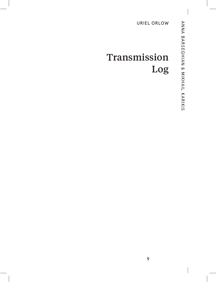## Transmission Log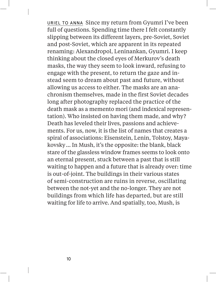URIEL TO ANNA Since my return from Gyumri I've been full of questions. Spending time there I felt constantly slipping between its different layers, pre-Soviet, Soviet and post-Soviet, which are apparent in its repeated renaming: Alexandropol, Leninankan, Gyumri. I keep thinking about the closed eyes of Merkurov's death masks, the way they seem to look inward, refusing to engage with the present, to return the gaze and instead seem to dream about past and future, without allowing us access to either. The masks are an anachronism themselves, made in the first Soviet decades long after photography replaced the practice of the death mask as a memento mori (and indexical representation). Who insisted on having them made, and why? Death has leveled their lives, passions and achievements. For us, now, it is the list of names that creates a spiral of associations: Eisenstein, Lenin, Tolstoy, Mayakovsky… In Mush, it's the opposite: the blank, black stare of the glassless window frames seems to look onto an eternal present, stuck between a past that is still waiting to happen and a future that is already over: time is out-of-joint. The buildings in their various states of semi-construction are ruins in reverse, oscillating between the not-yet and the no-longer. They are not buildings from which life has departed, but are still waiting for life to arrive. And spatially, too, Mush, is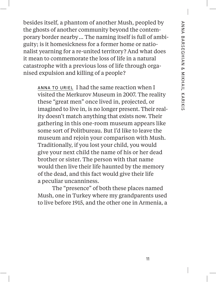besides itself, a phantom of another Mush, peopled by the ghosts of another community beyond the contemporary border nearby… The naming itself is full of ambiguity; is it homesickness for a former home or nationalist yearning for a re-united territory? And what does it mean to commemorate the loss of life in a natural catastrophe with a previous loss of life through organised expulsion and killing of a people?

ANNA TO URIEL I had the same reaction when I visited the Merkurov Museum in 2007. The reality these "great men" once lived in, projected, or imagined to live in, is no longer present. Their reality doesn't match anything that exists now. Their gathering in this one-room museum appears like some sort of Politbureau. But I'd like to leave the museum and rejoin your comparison with Mush. Traditionally, if you lost your child, you would give your next child the name of his or her dead brother or sister. The person with that name would then live their life haunted by the memory of the dead, and this fact would give their life a peculiar uncanniness.

The "presence" of both these places named Mush, one in Turkey where my grandparents used to live before 1915, and the other one in Armenia, a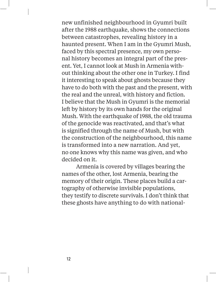new unfinished neighbourhood in Gyumri built after the 1988 earthquake, shows the connections between catastrophes, revealing history in a haunted present. When I am in the Gyumri Mush, faced by this spectral presence, my own personal history becomes an integral part of the present. Yet, I cannot look at Mush in Armenia without thinking about the other one in Turkey. I find it interesting to speak about ghosts because they have to do both with the past and the present, with the real and the unreal, with history and fiction. I believe that the Mush in Gyumri is the memorial left by history by its own hands for the original Mush. With the earthquake of 1988, the old trauma of the genocide was reactivated, and that's what is signified through the name of Mush, but with the construction of the neighbourhood, this name is transformed into a new narration. And yet, no one knows why this name was given, and who decided on it.

Armenia is covered by villages bearing the names of the other, lost Armenia, bearing the memory of their origin. These places build a cartography of otherwise invisible populations, they testify to discrete survivals. I don't think that these ghosts have anything to do with national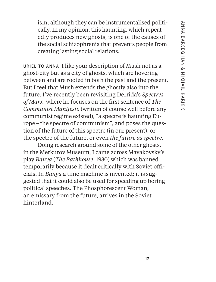ism, although they can be instrumentalised politically. In my opinion, this haunting, which repeatedly produces new ghosts, is one of the causes of the social schizophrenia that prevents people from creating lasting social relations.

URIEL TO ANNA I like your description of Mush not as a ghost-city but as a city of ghosts, which are hovering between and are rooted in both the past and the present. But I feel that Mush extends the ghostly also into the future. I've recently been revisiting Derrida's *Spectres of Marx*, where he focuses on the first sentence of *The Communist Manifesto* (written of course well before any communist regime existed), "a spectre is haunting Europe – the spectre of communism", and poses the question of the future of this spectre (in our present), or the spectre of the future, or even *the future as spectre*.

Doing research around some of the other ghosts, in the Merkurov Museum, I came across Mayakovsky's play *Banya* (*The Bathhouse*, 1930) which was banned temporarily because it dealt critically with Soviet officials. In *Banya* a time machine is invented; it is suggested that it could also be used for speeding up boring political speeches. The Phosphorescent Woman, an emissary from the future, arrives in the Soviet hinterland.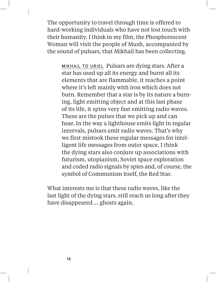The opportunity to travel through time is offered to hard-working individuals who have not lost touch with their humanity. I think in my film, the Phosphorescent Woman will visit the people of Mush, accompanied by the sound of pulsars, that Mikhail has been collecting.

MIKHAIL TO URIEL Pulsars are dying stars. After a star has used up all its energy and burnt all its elements that are flammable, it reaches a point where it's left mainly with iron which does not burn. Remember that a star is by its nature a burning, light emitting object and at this last phase of its life, it spins very fast emitting radio waves. These are the pulses that we pick up and can hear. In the way a lighthouse emits light in regular intervals, pulsars emit radio waves. That's why we first mistook these regular messages for intelligent life messages from outer space. I think the dying stars also conjure up associations with futurism, utopianism, Soviet space exploration and coded radio signals by spies and, of course, the symbol of Communism itself, the Red Star.

What interests me is that these radio waves, like the last light of the dying stars, still reach us long after they have disappeared … ghosts again.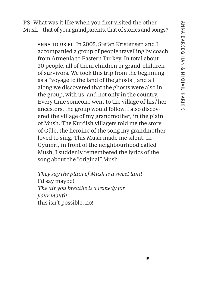PS: What was it like when you first visited the other Mush – that of your grandparents, that of stories and songs?

ANNA TO URIEL In 2005, Stefan Kristensen and I accompanied a group of people travelling by coach from Armenia to Eastern Turkey. In total about 30 people, all of them children or grand-children of survivors. We took this trip from the beginning as a "voyage to the land of the ghosts", and all along we discovered that the ghosts were also in the group, with us, and not only in the country. Every time someone went to the village of his /her ancestors, the group would follow. I also discovered the village of my grandmother, in the plain of Mush. The Kurdish villagers told me the story of Güle, the heroine of the song my grandmother loved to sing. This Mush made me silent. In Gyumri, in front of the neighbourhood called Mush, I suddenly remembered the lyrics of the song about the "original" Mush:

*They say the plain of Mush is a sweet land* I'd say maybe! *The air you breathe is a remedy for your mouth* this isn't possible, no!